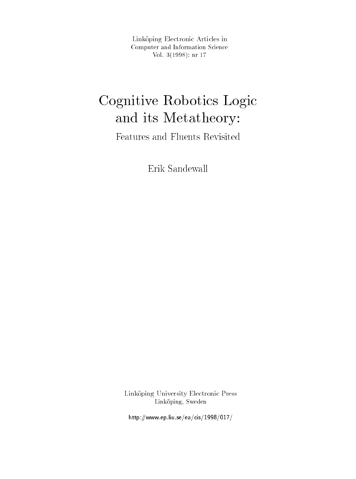Link-oping Electronic Articles in Computer and Information Science $\sqrt{01}$ ,  $\sqrt{01}$ ,  $\sqrt{01}$ ,  $\sqrt{01}$ ,  $\sqrt{01}$ ,  $\sqrt{01}$ ,  $\sqrt{01}$ 

# Cognitive Robotics Logic  $\sim$  Metatheory-Metatheory-Metatheory-Metatheory-Metatheory-Metatheory-Metatheory-Metatheory-Metatheory-Metatheory-Metatheory-Metatheory-Metatheory-Metatheory-Metatheory-Metatheory-Metatheory-Metatheory-Metatheory-Metathe

Features and Fluents Revisited

Erik Sandewall

Link-oping University Electronic Press Linköping, Sweden

http-wwwepliuseeacis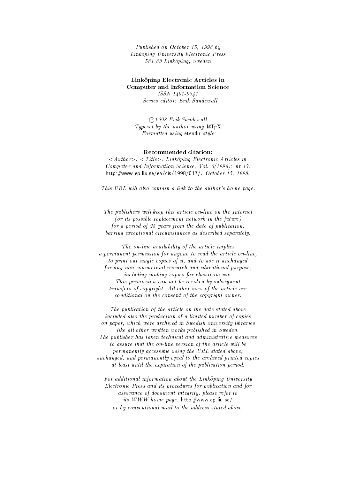Published on October - - by Linköping University Electronic Press Linkoping University Electronic Press 581 83 Linköping, Sweden Linkoping Sweden

# Link-oping Electronic Articles in Computer and Information Science

<u>issue</u> is a contract of the contract of the contract of the contract of the contract of the contract of the contract of the contract of the contract of the contract of the contract of the contract of the contract of the c

 $\odot$ 1998 Erik Sandewall Typeset by the author using  $\text{IATEX}$ Formatted using étendu style

 Linkoping Electronic Articles in Computer and Information Science Vol
 - nr http://www.archive.com/www.archive.com/www.archive.com/www.archive.com/www.archive.com/www.archive.com/www.archive.com/www.archive.com/www.archive.com/www.archive.com/www.archive.com/www.archive.com/www.archive.com/www.arc

This URL will also contain a link to the author's home page.

The publishers will keep this article on-line on the Internet  $($ or its possible replacement network in the future $)$ for a period of  $25$  years from the date of publication, barring exceptional circumstances as described separately

The on-line availability of the article implies a permanent permission for anyone to read the article on-line, to print out single copies of it, and to use it unchanged for any non-commercial research and educational purpose, including making copies for classroom use This permission can not be revoked by subsequent transfers of copyright. All other uses of the article are conditional on the consent of the copyright owner

The publication of the article on the date stated above included also the production of a limited number of copies on paper, which were archived in Swedish university libraries like all other written works published in Sweden. The publisher has taken technical and administrative measures to assure that the on-line version of the article will be permanently accessible using the URL stated above unchanged, and permanently equal to the archived printed copies at least until the expiration of the publication period

For additional information about the Linkoping University Electronic Press and its procedures for publication and for assurance of document integrity, please refer to its WWW home page http-wwwepliuse or by conventional mail to the address stated above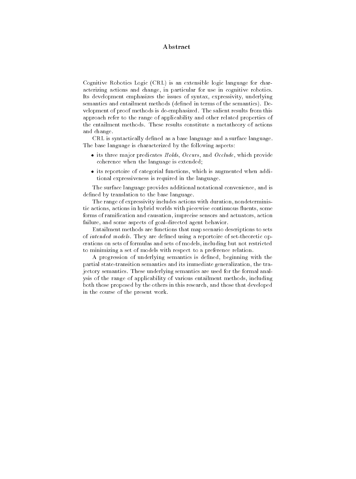## Abstract

 $\blacksquare$  Contains  $\blacksquare$ CRL is an extensible logic language for char acterizing actions and change, in particular for use in cognitive robotics. Its development emphasizes the issues of syntax, expressivity, underlying semantics and entailment methods -dened in terms of the semantics De velopment of proof methods is de-emphasized. The salient results from this approach refer to the range of applicability and other related properties of the entailment methods. These results constitute a metatheory of actions and change

 $CRL$  is syntactically defined as a base language and a surface language. The base language is characterized by the following aspects

- its three major predicates Holds Occurs and Occurs and Occurs and Occurs and Occurs and Occurs and Occurs an coherence when the language is extended
- its reportoire of categorial functions which is augmented when addi tional expressiveness is required in the language

The surface language provides additional notational convenience, and is defined by translation to the base language.

The range of expressivity includes actions with duration, nondeterministic actions actions in hybrid worlds with piecewise continuous uents some forms of ramication and causation imprecise sensors and actuators action failure, and some aspects of goal-directed agent behavior.

Entailment methods are functions that map scenario descriptions to sets of *intended models*. They are defined using a reportoire of set-theoretic operations on sets of formulas and sets of models including but not restricted to minimizing a set of models with respect to a preference relation

A progression of underlying semantics is defined, beginning with the partial state-transition semantics and its immediate generalization, the trajectory semantics These underlying semantics are used for the formal anal ysis of the range of applicability of various entailment methods, including both those proposed by the others in this research and those that developed in the course of the present work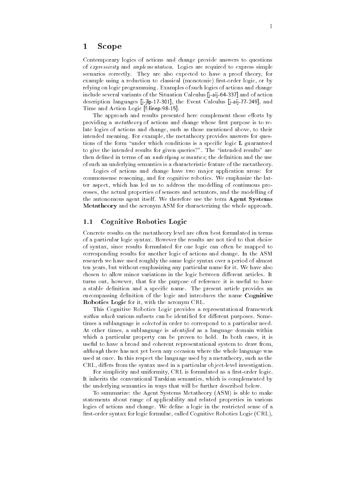# 1 Scope

Contemporary logics of actions and change provide answers to questions of *expressivity* and *implementation*. Logics are required to express simple scenarios correctly. They are also expected to have a proof theory, for example using a reduction to classical -monotonic rstorder logic or by relying on logic programming Examples of such logics of actions and change include several variants of the Situation Calculus Calculus Calculus Calculus Calculus Calculus Calculus Calcu description languages jjlp the Event Calculus jaij 
 and Time and Action Logic flinep

The approach and results presented here complement those efforts by providing a *metatheory* of actions and change whose first purpose is to relate logics of actions and change, such as those mentioned above, to their intended meaning. For example, the metatheory provides answers for questions of the form "under which conditions is a specific logic  $L$  guaranteed to give the intended results for given queries?". The "intended results" are then defined in terms of an *underlying semantics*; the definition and the use of such an underlying semantics is a characteristic feature of the metatheory

Logics of actions and change have two major application areas: for commonsense reasoning, and for cognitive robotics. We emphasize the latter aspect, which has led us to address the modelling of continuous processes, the actual properties of sensors and actuators, and the modelling of the autonomous agent itself. We therefore use the term Agent Systems Metatheory and the acronym ASM for characterizing the whole approach.

#### $1.1$ Cognitive Robotics Logic

Concrete results on the metatheory level are often best formulated in terms of a particular logic syntax. However the results are not tied to that choice of syntax since results formulated for one logic can often be mapped to corresponding results for another logic of actions and change In the ASM research we have used roughly the same logic syntax over a period of almost ten years but without emphasizing any particular name for it We have also chosen to allow minor variations in the logic between different articles. It turns out, however, that for the purpose of reference it is useful to have a stable definition and a specific name. The present article provides an encompassing definition of the logic and introduces the name Cognitive Robotics Logic for it, with the acronym CRL.

This Cognitive Robotics Logic provides a representational framework within which various subsets can be identified for different purposes. Sometimes a sublanguage is *selected* in order to correspond to a particular need. At other times, a sublanguage is *identified* as a language domain within which a particular property can be proven to hold. In both cases, it is useful to have a broad and coherent representational system to draw from although there has not yet been any occasion where the whole language was used at once. In this respect the language used by a metatheory, such as the CRL, differs from the syntax used in a particular object-level investigation.

For simplicity and uniformity, CRL is formulated as a first-order logic. It inherits the conventional Tarskian semantics, which is complemented by the underlying semantics in ways that will be further described below

To summarize the Agent Systems Metatheory -ASM is able to make statements about range of applicability and related properties in various logics of actions and change. We define a logic in the restricted sense of a rstorder syntax for logic formulae called Cognitive Robotics Logic -CRL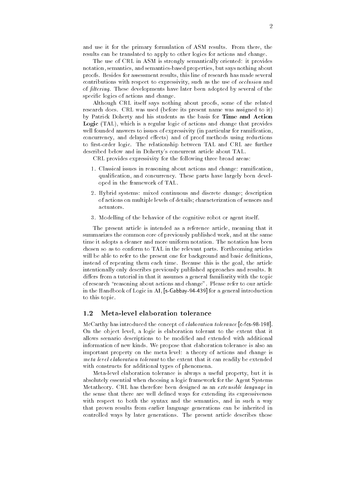and use it for the primary formulation of ASM results. From there, the results can be translated to apply to other logics for actions and change. results can be translated to apply to other logics for actions and change

The use of CRL in ASM is strongly semantically oriented: it provides notation semantics, and semantics-based properties, but says nothing about notation semantics and semanticsbased properties but says nothing about proofs. Besides for assessment results, this line of research has made several proofs Besides for assessment results this line of research has made several contributions with respect to expressivity, such as the use of occlusion and of filtering. These developments have later been adopted by several of the specific logics of actions and change.

Although CRL itself says nothing about proofs, some of the related research does CRL was used -before its present name was assigned to it by Patrick Doherty and his students as the basis for Time and Action  $\blacksquare$ well founded answers to issue of expressivity - in particular for ramication - in particular for ramication concurrency, and delayed effects) and of proof methods using reductions to first-order logic. The relationship between TAL and CRL are further described below and in Doherty's concurrent article about TAL.

CRL provides expressivity for the following three broad areas:

- 1. Classical issues in reasoning about actions and change: ramification, qualification, and concurrency. These parts have largely been developed in the framework of TAL
- 2. Hybrid systems: mixed continuous and discrete change; description of actions on multiple levels of details; characterization of sensors and actuators
- Modelling of the behavior of the cognitive robot or agent itself

The present article is intended as a reference article, meaning that it summarizes the common core of previously published work, and at the same time it adopts a cleaner and more uniform notation The notation has been chosen so as to conform to TAL in the relevant parts. Forthcoming articles will be able to refer to the present one for background and basic definitions, instead of repeating them each time. Because this is the goal, the article intentionally only describes previously published approaches and results It differs from a tutorial in that it assumes a general familiarity with the topic of research "reasoning about actions and change". Please refer to our article in the Handbook of Logic introduction  $f$  is a general introduction  $f$ to this topic

# 1.2 Meta-level elaboration tolerance

MacCarthy has introduced the concept of elaboration to the concept of elaboration to  $\mathcal{C}$ On the object level a logic is elaboration tolerant to the extent that it allows scenario descriptions to be modied and extended with additional information of new kinds. We propose that elaboration tolerance is also an important property on the meta level: a theory of actions and change is meta level elaboration tolerant to the extent that it can readily be extended with constructs for additional types of phenomena

Meta-level elaboration tolerance is always a useful property, but it is absolutely essential when choosing a logic framework for the Agent Systems Metatheory CRL has therefore been designed as an extensible language in the sense that there are well defined ways for extending its expressiveness with respect to both the syntax and the semantics, and in such a way that proven results from earlier language generations can be inherited in controlled ways by later generations. The present article describes those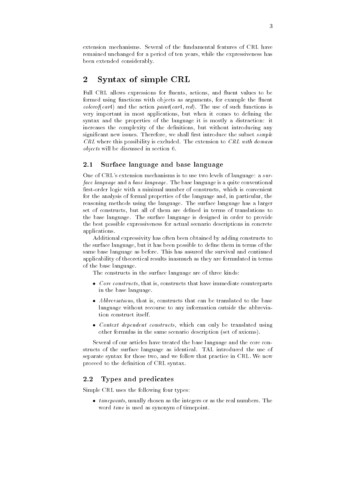extension mechanisms Several of the fundamental features of CRL have remained unchanged for a period of ten years, while the expressiveness has remained unchanged for a period of ten years while the expressiveness has been extended considerably. between extended considerably considerably considerably considerably considerably considerably considerably considerably considerably considerably considerably considerably considerably considerably considerably considerab

#### $\overline{2}$ Syntax of simple CRL

Full CRL allows expressions for uents actions and uent values to be formed using functions with objects as arguments for example the uent colorum colorum colorum colorum colorum colorum colorum colorum colorum colorum colorum colorum colorum colorum colorum colorum colorum colorum colorum colorum colorum colorum colorum colorum colorum colorum colorum coloru car and the action paintcar red The use of such functions is a control of such functions in the use of such functions is a control of such functions in the use of such functions in the use of such functions in the use of such functions in the use very important in most applications, but when it comes to defining the syntax and the properties of the language it is mostly a distraction: it increases the complexity of the definitions, but without introducing any significant new issues. Therefore, we shall first introduce the subset  $simple$  $CRL$  where this possibility is excluded. The extension to  $CRL$  with domain  $objects$  will be discussed in section 6.

#### 2.1 Surface language and base language

One of CRL's extension mechanisms is to use two levels of language: a  $sur$ face language and a base language. The base language is a quite conventional first-order logic with a minimal number of constructs, which is convenient for the analysis of formal properties of the language and, in particular, the reasoning methods using the language The surface language has a larger set of constructs, but all of them are defined in terms of translations to the base language. The surface language is designed in order to provide the best possible expressiveness for actual scenario descriptions in concrete applications

Additional expressivity has often been obtained by adding constructs to the surface language, but it has been possible to define them in terms of the same base language as before This has assured the survival and continued applicability of theoretical results inasmuch as they are formulated in terms of the base language

The constructs in the surface language are of three kinds

- Core constructs that is constructs that have immediate counterparts in the base language
- $A\subset\mathbb{R}$  that is constructed to the base translated to the base translated to the base translated to the base language without recourse to any information outside the abbrevia tion construct itself
- Context dependent constructs which can only be translated using other formulas in the same scenario description  $\mathbf{I}$

Several of our articles have treated the base language and the core con structs of the surface language as identical TAL introduced the use of separate syntax for those two, and we follow that practice in CRL. We now proceed to the definition of CRL syntax.

#### Types and predicates  $2.2$

Simple CRL uses the following four types

- timepoints usually chosen as the integers or as the real numbers The word time is used as synonym of timepoint.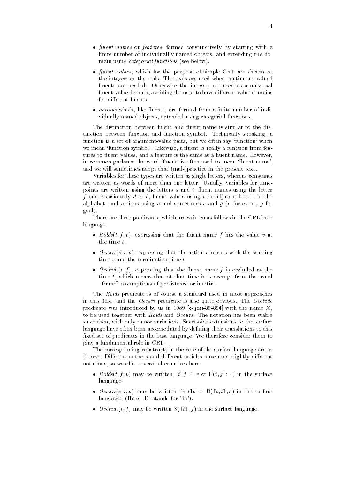- uent names or features formed constructively by starting with a finite number of individuallly named objects, and extending the donite number of individuallly named objects and extending the do main using categorial functions -see below
- uent values which for the purpose of simple CRL are chosen as the integers or the reals. The reals are used when continuous valued the integers or the reals The reals are used when continuous valued  $\Omega$ uentvalue domain avoiding the need to have dierent value domains
- actions which like  $\mathbb{I}$ vidually named objects, extended using categorial functions.

tinction between function and function symbol. Technically speaking, a function is a set of argument-value pairs, but we often say 'function' when we mean function symbol  $\mathcal{U}$  function from function from function from function from function from function from function function function function function function function function function function function funct tures to uent values and a feature is the same as a uent name However in common parlance the word uent is often used to mean uent name and we will sometimes adopt that -malpractice in the present text

Variables for these types are written as single letters, whereas constants are written as words of more than one letter. Usually, variables for timepoints are written using the letters s and the letters s and the letters s and the letters s and the letters s and the letters s and the letters s and the letters s and the letters s and the letters s and the letters s an f and occasionally d or b uent values using v or adjacent letters in the alphabet and actions using a and sometimes e and g - for event g for event g for event g for event g for event goal

There are three predicates, which are written as follows in the CRL base language

- Holds-t f v expressing that the uent name f has the value v at the time  $t$ .
- $\blacksquare$  or the action and the action and the action and starting the starting  $\blacksquare$ time  $s$  and the termination time  $t$ .
- Occlude-t f expressing that the uent name f is occluded at the time  $t$ , which means that at that time it is exempt from the usual "frame" assumptions of persistence or inertia.

The Holds predicate is of course a standard used in most approaches in this field, and the Occurs predicate is also quite obvious. The  $Occlude$ predicate was introduced by us in cijcai with the name X to be used together with  $Holds$  and  $Occurs$ . The notation has been stable since then with only minor variations Successive extensions to the surface language have often been accomodated by defining their translations to this fixed set of predicates in the base language. We therefore consider them to play a fundamental role in CRL

The corresponding constructs in the core of the surface language are as follows. Different authors and different articles have used slightly different notations, so we offer several alternatives here:

- t f f v or the surface that the surface the surface of the surface of the surface of the surface of the surface of the surface of the surface of the surface of the surface of the surface of the surface of the surface of th language
- Occurs-left that we have been seen to be a surface of the surface of the surface of the surface of the surface of the surface of the surface of the surface of the surface of the surface of the surface of the surface of t language -Here D stands for do
- occan the final matrix of the surface language language language language language language language language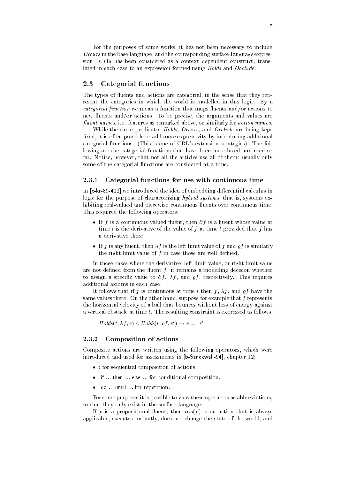For the purposes of some works it has not been necessary to include  $\mathcal{O}c\text{c}u\text{r}s$  in the base language, and the corresponding surface-language expres-Occurs in the base language and the corresponding surfacelanguage expres sion  $[s, t]$ a has been considered as a context dependent construct, transa has been considered as a construction of the construction  $\mathbb{R}^n$ lated in each case to an expression formed using  $Holds$  and  $Occlude$ . lated in each case to an expression formed using Holds and Occlude

#### Categorial functions 2.3

The types of uents and actions are categorial in the sense that they rep resent the categories in which the world is modelled in this logic By a categorial function we mean a function that maps uents andor actions to new  $\mathbf{u}$ fluent names, i.e. features as remarked above, or similarly for  $action$  names.

While the three predicates  $Holds$ , Occurs, and Occlude are being kept fixed, it is often possible to add more expressivity by introducing additional categorial functions. (This is one of CRL's extension strategies). The folcategorial functions  $\mathcal{N}$ This is one of  $\mathbb{R}^n$  . This is one of  $\mathbb{R}^n$  the following the following the following the following the following the following the following the following the following the following the following the following lowing are the categorial functions that have been introduced and used so far. Notice, however, that not all the articles use all of them: usually only some of the categorial functions are considered at a time

#### 2.3.1 Categorial functions for use with continuous time

In ckr we introduced the idea of embedding dierential calculus in logic for the purpose of characterizing hybrid systems, that is, systems exhibiting realvalued and piecewise continuous uents over continuous time This required the following operators

- If f is a continuous valued uent then f is a uent whose value at time t is the derivative of the value of  $f$  at time  $t$  provided that  $f$  has a derivative there
- If f is any uent then f is the left limit value of f and f is similarly the right limit value of  $f$  in case those are well defined.

In those cases where the derivative, left limit value, or right limit value are not denote the interesting density  $\mathbf{r}$  and  $\mathbf{r}$ to assign a specific value to  $\partial f$ ,  $\lambda f$ , and  $\rho f$ , respectively. This requires additional axioms in each case

It follows that if f is continuous at time t then f,  $\lambda f$ , and of have the same values there. On the other hand, suppose for example that  $f$  represents the horizontal velocity of a ball that bounces without loss of energy against a vertical obstacle at time  $t$ . The resulting constraint is expressed as follows:

Holds-t f v Holds-t f v v v

### Composition of actions

Composite actions are written using the following operators, which were introduced and used for assessments in the assessment of assessments in the assessment of a chapter of a chapter of a

- for sequential composition of actions of actions of actions of actions of actions of actions of actions of a
- -then if the then if the new state  $\mathbf{f}$  then if the conditional composition is the conditional composition in the condition of the condition is the condition of the condition of the condition of the condition of the co
- do the state for repetition of the form of the state of the state of the state of the state of the state of

For some purposes it is possible to view these operators as abbreviations so that they only exist in the surface language

If p is a propositional uent then test-p is an action that is always applicable, executes instantly, does not change the state of the world, and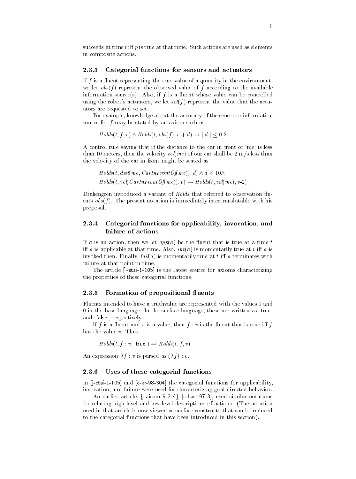succeeds at time  $t$  iff  $p$  is true at that time. Such actions are used as elements in composite actions. in composite activities of the composite activities and composite activities activities activities activities o

#### 2.3.3 Categorial functions for sensors and actuators

If f is a uent representing the true value of a quantity in the environment we let obs-f represent the observed value of f according to the available information source-definition source-definition source-definition  $\mathbf{A}$ using the robots actuators we let set-f represent the value that the actu ators are requested to set

For example, knowledge about the accuracy of the sensor or information source for  $f$  may be stated by an axiom such as

t f and the state of the first term of the first term of the state of the first term of the first term of the

A control rule saying that if the distance to the car in front of 'me' is less than  $\mathbf{m}$  is the velocity velocity velocity velocity velocity velocity velocity velocity velocity velocity velocity velocity velocity velocity velocity velocity velocity velocity velocity velocity velocity velocity ve the velocity of the car in front might be stated as

t distribution and the contract of the contract of the contract of the contract of the contract of the contract of the contract of the contract of the contract of the contract of the contract of the contract of the contrac t vel-construction and the velocity of the velocity of the velocity of the velocity of the velocity of the velocity of the velocity of the velocity of the velocity of the velocity of the velocity of the velocity of the vel

 $D$  and that referred to observation of Holds that referred to observation  $D$ ents obs-f The present notation is immediately intertranslatable with his proposal

#### Categorial functions for applicability, invocation, and 2.3.4 failure of actions

If a structure at a beth is true at a time that is true at a time that is true at a time true at a time true at a time true at a time true at a time true at a time true at a time true at a time true at a time true at a ti i a is applicable at that time Also inv-a is momentarily true at t i a is invoked then  $\mathcal{F}$  is momentarily true at the terminates with the terminates with  $\mathcal{F}$ failure at that point in time

The article is the latest source for axioms characterizing  $\Box$ the properties of these categorial functions

#### $2.3.5\,$ Formation of propositional fluents

Fluents intended to have a truthvalue are represented with the values 1 and  $\theta$  in the base language. In the surface language, these are written as true and false, respectively.

If f is a value that is a value that is a value that is the state in the state in the state is the state in the state in the state in the state in the state in the state in the state in the state in the state in the state has the value  $v$ . Thus

t f  $\mathbf{u}$  true  $\mathbf{v}$  true  $\mathbf{v}$  true  $\mathbf{v}$  true  $\mathbf{v}$ 

An expression f v is parsed as -f v

### Uses of these categorial functions

In jetai and ckr the categorial functions for applicability invocation, and failure were used for characterizing goal-directed behavior.

An earlier article jaicom chart used similar notations for relating highlevel and lowlevel descriptions of actions -The notation used in that article is now viewed as surface constructs that can be reduced to the categorial functions that have been introduced in this section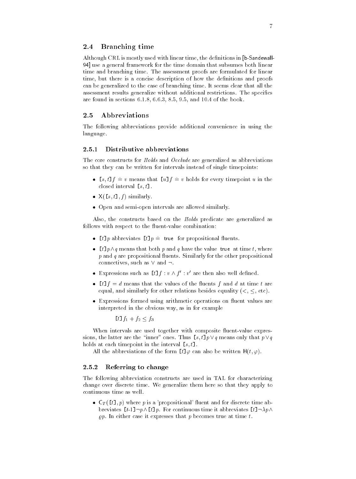#### Branching time 2.4

Although CRL is mostly used with linear time the denitions in bSandewall 94] use a general framework for the time domain that subsumes both linear time and branching time. The assessment proofs are formulated for linear time, but there is a concise description of how the definitions and proofs can be generalized to the case of branching time It seems clear that all the assessment results generalize without additional restrictions. The specifics are found in sections  $6.1.8, 6.6.3, 8.5, 9.5,$  and  $10.4$  of the book.

#### $2.5$ Abbreviations

The following abbreviations provide additional convenience in using the language

#### 2.5.1 Distributive abbreviations

The core constructs for Holds and Occlude are generalized as abbreviations so that they can be written for intervals instead of single timepoints

- s t-f v means that u-f v holds for every timepoint u in the closed interval  $[s, t]$ .
- X-s t- f similarly
- Open and semiopen intervals are allowed similar semiopen intervals are allowed similar similar similar similar similar similar similar similar similar similar similar similar similar similar similar similar similar simil

Also, the constructs based on the  $Holds$  predicate are generalized as follows with respect to the combination of the combination of the combination of the combination of the combination of the combination of the combination of the combination of the combination of the combination of the comb

- t-p abbreviates t-p true for propositional uents
- that passes that both process that both p and the value that the value that the value the value to p and q are propositional uents Similarly for the other propositional connectives, such as  $\vee$  and  $\neg$ .
- $\bullet$  expressions such as  $\iota \iota_J : v \wedge f : v$  are then also well defined.
- t-f d means that the values of the uents f and d at time t are equal and similarly for other relations besides equality - etc
- Expressions formed using arithmetic operations on uent values are interpreted in the obvious way, as in for example

t-f f- f

When intervals are used together with composite uentvalue expres sions the latter are the thus states that s the latter  $\mathcal{P}$  ,  $\mathcal{Q}$  are the state p  $\mathcal{Q}$  ,  $\mathcal{Q}$ holds at each time time point in the interval s t-

also be abbreviation of the form the  $\mathcal{F}$  and the solutions  $\mathcal{F}$  also be  $\mathcal{F}$ 

### Referring to change

The following abbreviation constructs are used in TAL for characterizing change over discrete time. We generalize them here so that they apply to continuous time as well

ef the state p is a proposition control where the control  $\alpha$ produces the product of continuous times to move the second continuous times and  $\mathcal{P}(\mathcal{P})$  $\varrho$ . In either case it expresses that p becomes true at time t.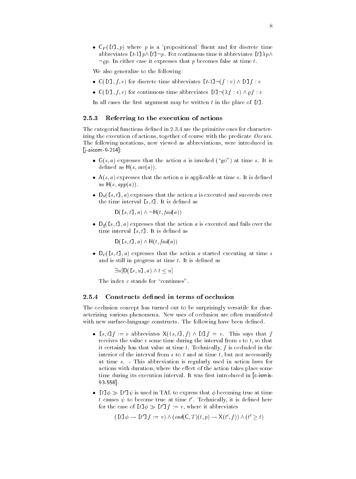$\mathbf{u}$  the proposition and for discrete time  $\mathbf{u}$ abbreviates t-pt-p For continuous time it abbreviates tproduced a series of the series of the series of the series of the series of the series of the series of the s  $\neg pp$ . In either case it expresses that p becomes false at time t.

We also generalize to the following

- C-t- f v for discrete time abbreviates t--f v t-f v
- the first text of continuous time abbreviates the continuous time abbreviates the continuous time abbreviate

In all cases the first argument may be written t in the place of  $[t]$ .

#### 2.5.3 Referring to the execution of actions

The categorial functions defined in  $2.3.4$  are the primitive ones for characterizing the execution of actions, together of course with the predicate  $Occurs$ . The following notations now viewed as abbreviations were introduced in jaicom and the company of the company of the company of the company of the company of the company of the company of the company of the company of the company of the company of the company of the company of the company of t

- $\sim$  s a finite state that time s invoked  $\sim$  invoked  $\sim$  invoked  $\sim$ dened as H-s investigation and as H-s investigation and as H-s investigation and as H-s investigation and a str
- A-s a expresses that the action a is applicable at time s It is dened as a more and a series and a series of the series of the series of the series of the series of the series of the
- Ds-s t- a expresses that the action a is executed and succeeds over the time interval s t-time interval s t-time interval s t-time interval s t-time interval s t-time interval s

s t-contract the state of the state of the state of the state of the state of the state of the state of the state of the state of the state of the state of the state of the state of the state of the state of the state of t

- Df-s t- a expresses that the action a is executed and fails over the time interval s t-time interval s t-time interval s t-time interval s t-time interval s t-time interval s t-ti

- \ - - 1 - - 1 - *1 +* \ - \ - \ - 1 *a* - - \ - 1 *a* 

- the started executive that the action as started executive  $\mathbf{A}$ and is still in progress at time  $t$ . It is defined as

 uD-s u- a t u

The index  $c$  stands for "continues".

#### 2.5.4 Constructs defined in terms of occlusion

The occlusion concept has turned out to be surprisingly versatile for char acterizing various phenomena New uses of occlusion are often manifested with new surface-language constructs. The following have been defined.

- res transitions in the first fact that for the first fact of the first fact of the first fact of the first fact of the first fact of the first fact of the first fact of the first fact of the first fact of the first fact of receives the value  $v$  some time during the interval from  $s$  to  $t$ , so that it certainly has that value at time  $t$ . Technically,  $f$  is occluded in the interior of the interval from  $s$  to  $t$  and at time  $t$ , but not necessarily at time  $s$ . - This abbreviation is regularly used in action laws for actions with duration, where the effect of the action takes place some time during its execution interval interval interval interval interval interval interval in  $\alpha$  $93 - 558$ ].
- $\bullet$  [ $\iota$ ]  $\varphi \gg$  [ $\iota$ ]  $\psi$  is used in TAL to express that  $\varphi$  becoming true at time  $t$  causes  $\psi$  to become true at time  $t$  . Lechnically, it is defined here for the case of  $\iota \cdot \iota \cdot \varphi \gg \iota \iota \cdot \iota + \iota \cdot \iota = v$ , where it abbreviates

 $t \downarrow u \downarrow v \rightarrow \downarrow u \downarrow f := v \uparrow \wedge ( \textit{ind}(C, \perp)(t, p) \rightarrow \wedge (t, f)) \wedge (t \geq t)$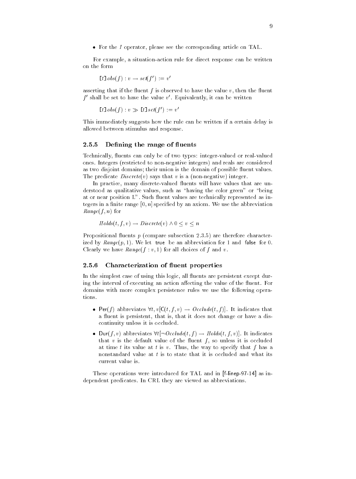- For the I operator please see the corresponding article on TAL

For example, a situation-action rule for direct response can be written

$$
t\texttt{]\,} \mathit{obs}(f) : v \to \mathit{set}(f') := v'
$$

asserting that if the uent f is observed to have the value v then the uent  $\,$  shall be set to have the value  $v$  . Equivalently, it can be written  $\,$ 

$$
\llbracket t \rrbracket \, obs(f) : v \gg \llbracket t \rrbracket \, set(f') := v'
$$

This immediately suggests how the rule can be written if a certain delay is allowed between stimulus and response

### 2.5.5 Defining the range of fluents

 $\mathcal{U}$  technically be of two types integers integers integers integers integers integers integers in real valued or realistic  $\mathcal{U}$ ones Integers -restricted to nonnegative integers and reals are considered as two disjoint domains in the domains of possible domains of possible domain of possible domain of possible d The predicate Discrete-v says that v is a -nonnegative integer

In practice many discretevalued uents will have values that are un derstood as qualitative values, such as "having the color green" or "being at or near position L Such as in the contract or near position L Such as in the contract of the contract or near tegers in a finite range  $[0, n]$  specified by an axiom. We use the abbreviation  $-$  for  $f$  and  $f$  and  $f$  and  $f$  and  $f$  and  $f$  and  $f$  and  $f$  and  $f$  and  $f$  and  $f$  and  $f$  and  $f$  and  $f$  and  $f$  and  $f$  and  $f$  and  $f$  and  $f$  and  $f$  and  $f$  and  $f$  and  $f$  and  $f$  and  $f$  and  $f$  and  $f$  a

$$
Holds(t, f, v) \rightarrow Discrete(v) \land 0 \le v \le n
$$

Propositional uents p -compare subsection are therefore character ized by Range-p We let true be an abbreviation for and false for Clearly we have Range-f v for all choices of f and v

#### $2.5.6$ Characterization of fluent properties

In the simplest case of using this logic all uents are persistent except dur ing the interval of executing an action aecting the value of the uent For domains with more complex persistence rules we use the following opera tions

- $\mathbf{r}$  , abbreviates that for  $\mathbf{r}$  is the  $\mathbf{r}$  function of  $\mathbf{r}$  in the  $\mathbf{r}$ a uent is persistent that is that is that it does not change or  $\alpha$ continuity unless it is occluded
- t f abbreviates the contracted that the contracted the contracted the second contracted the contracted the contracted the contracted to the contracted the contracted to the contracted the contracted to the contracted to th that is the definition of the default of the source of the society of the society of the society of the society at time t its value at t is v. Thus, the way to specify that f has a nonstandard value at  $t$  is to state that it is occluded and what its

These operations were introduced for TAL and introduced for TAL and in the TAL and in the TAL and in the TAL and dependent predicates. In CRL they are viewed as abbreviations.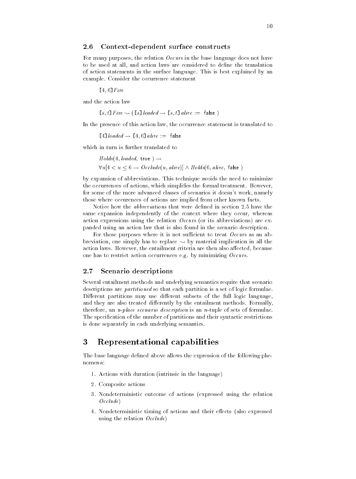#### 2.6 Context-dependent surface constructs

For many purposes, the relation  $Occurs$  in the base language does not have to be used at all, and action laws are considered to define the translation of action statements in the surface language This is best explained by an example. Consider the occurrence statement

-Fire

and the action law

s t-s-alive false false false false false false false false false false false false false false

In the presence of this action law, the occurrence statement is translated to

-loaded -alive false

which in turn is further translated to

Holds-benefits-benefits-benefits-benefits-benefits-benefits-benefits-benefits-benefits-benefits-benefits-benef u alive false de la contrata de la contrata de la contrata de la contrata de la contrata de la contrata de la

by expansion of abbreviations This technique avoids the need to minimize the occurrences of actions, which simplifies the formal treatment. However, for some of the more advanced classes of scenarios it doesn't work, namely those where occurences of actions are implied from other known facts

Notice how the *abbreviations* that were defined in section 2.5 have the same expansion independently of the context where they occur, whereas action expressions using the relations  $\mathbf{r}$  absolute  $\mathbf{r}$ panded using an action law that is also found in the scenario description

For those purposes where it is not sufficient to treat  $\overline{Occurs}$  as an abbreviation, one simply has to replace  $\leadsto$  by material implication in all the action laws. However, the entailment criteria are then also affected, because one has to restrict action occurrences e.g. by minimizing  $Occurs$ .

# 2.7 Scenario descriptions

Several entailment methods and underlying semantics require that scenario descriptions are *partitioned* so that each partition is a set of logic formulae. Different partitions may use different subsets of the full logic language, and they are also treated differently by the entailment methods. Formally, therefore, an *n-place scenario description* is an *n*-tuple of sets of formulae. The specification of the number of partitions and their syntactic restrictions is done separately in each underlying semantics

# Representational capabilities

The base language defined above allows the expression of the following phenomena

- Actions with duration -intrinsic in the language
- 2. Composite actions
- Nondeterministic outcome of actions -expressed using the relation  $Occulate)$
- Nondeterministic timing of actions and their eects -also expressed using the relation  $Occulate)$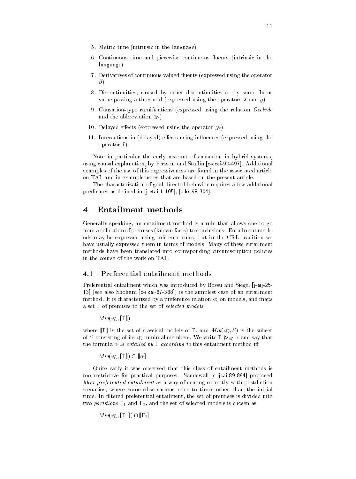- Metric time -intrinsic in the language
- Continuous time and piecewise continuous uents -intrinsic in the language
- 7. Derivatives of continuous valued fluents (expressed using the operator uents - uents - uents - uents - uents - uents - uents - uents - uents - uents - uents - uents - uents - uents expressed using the operator of the operator of the operator of the operator of the operator of the operator o  $\partial$ )
- Discontinuities caused by other discontinuities or by some uent value passing a threshold -expressed using the operators and
- Causationtype ramications -expressed using the relation Occlude and the abbreviation of the abbreviation of the abbreviation of the abbreviation of the abbreviation of the abbreviation of the state of the state of the state of the state of the state of the state of the state of the sta
- Delayed eects -expressed using the operator
- $\blacksquare$ operator  $I$ ).

Note in particular the early account of causation in hybrid systems using causal explanation by Persson and Sta in cecai
 Additional examples of the use of this expressiveness are found in the associated article on TAL and in example notes that are based on the present article

The characterization of goal-directed behavior requires a few additional predicates as denotes as denotes as denotes as denotes as denotes as denotes as denotes a denotes a denotes a

# Entailment methods

Generally speaking an entailment method is a rule that allows one to go from a collection of premises -known facts to conclusions Entailment meth ods may be expressed using inference rules but in the CRL tradition we have usually expressed them in terms of models Many of these entailment methods have been translated into corresponding circumscription policies in the course of the work on TAL

#### 4.1 Preferential entailment methods

Preferential entailment which was introduced by Bossu and Si"egel jaij -see also Shoham cijcai is the simplest case of an entailment method. It is characterized by a preference relation  $\ll$  on models, and maps a set  $\Gamma$  of premises to the set of selected models

Min- #

where  $\mathbf{u}$  is the set of classical models of  $\mathbf{u}$  and  $\mathbf{u}$  and  $\mathbf{u}$  and  $\mathbf{u}$  and  $\mathbf{u}$ of S consisting of its minimal members We write # j- and say that the formula  $\alpha$  is entailed by  $\Gamma$  according to this entailment method iff

www.communications.com/

Quite early it was observed that this class of entailment methods is too restrictive for proposed and purposes sandewall and purpose sandewall purposes sandewall purpose of the pro filter preferential entailment as a way of dealing correctly with postdiction scenarios, where some observations refer to times other than the initial time. In filtered preferential entailment, the set of premises is divided into two partitions  $\mathbf{r}_1$  and  $\mathbf{r}_2$  , and the set of selected models is chosen as  $\mathbf{r}_2$ 

Min- # #-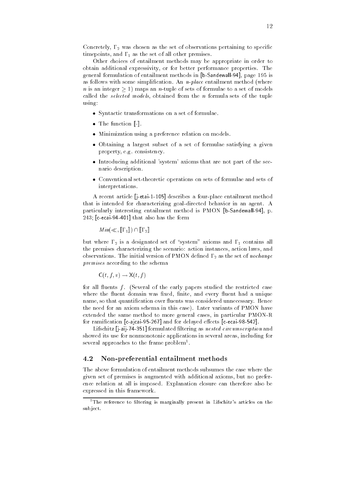Concretely #- was chosen as the set of observations pertaining to specic timepoints, and  $\Gamma_1$  as the set of all other premises. time and # as the set of all other premises and as the set of all other premises and all other premises and al

Other choices of entailment methods may be appropriate in order to obtain additional expressivity, or for better performance properties. The obtain additional expressivity or for better performance properties The general formulation of entailment methods in [b-Sandewall-94], page 195 is general formulation of entailment methods in bsandewall in the state of the state of the state of the state of the state of the state of the state of the s as follows with some simplication An nplace entailment method -where n is an integer  $\geq 1$ ) maps an n-tuple of sets of formulae to a set of models called the selected models, obtained from the  $n$  formula sets of the tuple using

- Syntactic transformations on a set of formulae on a set of formulae on a set of formulae on a set of formula
- The function
- Minimization using a preference relation on models
- Obtaining a largest subset of a set of formulae satisfying a given property, e.g. consistency.
- Introducing additional system axioms that are not part of the sce nario description
- Conventional settheoretic operations on sets of formulae and sets of interpretations and interpretations of the control of the control of the control of the control of the control of the control of the control of the control of the control of the control of the control of the control of the

A recent article jetai describes a fourplace entailment method that is intended for characterizing goaldirected behavior in an agent A particularly interesting entailment method is PMON bSandewall
 p cecain also has the form of the form of the form of the form of the form of the form of the form of the form o

Min- # #-

where  $\mu$  is a designation of system at a designation  $\mu$  . The system axioms and  $\mu$ the premises characterizing the scenario: action instances, action laws, and observations The initial version of  $P$ premises according to the schema

$$
\mathsf{C}(t,f,v) \to \mathsf{X}(t,f)
$$

for all uents f -Several of the early papers studied the restricted case where the the the the the set nite and every set nite and every set nite and every set of the set of the set of name so that quantication over uents was considered unnecessary Hence the need for an axiom schema in this case). Later variants of PMON have extended the same method to more general cases, in particular PMON-R for ramication cajcai and for delayed eects cecai

Lifschitz jaij formulated ltering as nested circumscription and showed its use for nonmonotonic applications in several areas including for several approaches to the frame problem

#### 4.2 Non-preferential entailment methods

The above formulation of entailment methods subsumes the case where the given set of premises is augmented with additional axioms but no prefer ence relation at all is imposed. Explanation closure can therefore also be expressed in this framework

The reference to filtering is marginally present in Lifschitz's articles on the sub ject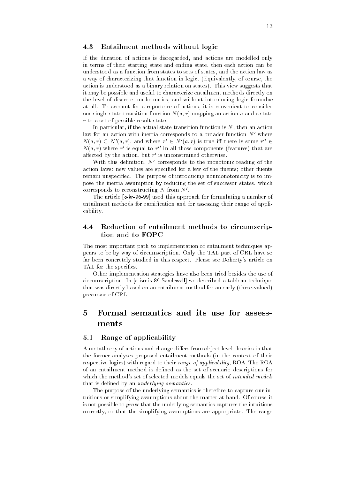#### 4.3 Entailment methods without logic

If the duration of actions is disregarded, and actions are modelled only in terms of their starting state and ending state, then each action can be understood as a function from states to sets of states and the action law as a way of characterizing that function in logic -Equivalently of course the action is understood as a binary relation on states). This view suggests that it may be possible and useful to characterize entailment methods directly on the level of discrete mathematics and without introducing logic formulae at all. To account for a reportoire of actions, it is convenient to consider one single statetransition function N-a r mapping an action a and a state  $r$  to a set of possible result states.

In particular, if the actual state-transition function is  $N$ , then an action law for an action with inertia corresponds to a broader function  $N'$  where  $N(a, r) \subseteq N(a, r)$ , and where  $r \in N(a, r)$  is true in there is some  $r \in$ Na r where r where  $r$  is a regular regular regular regular regular regular regular regular regular regular regular regular regular regular regular regular regular regular regular regular regular regular regular regular reg  $\cdots$ is equal to response the control of the control of the control of the control of the control of the control of in all those components  $\mathbf{r}$  all those components  $\mathbf{r}$ features that are the state of the state of the state of the state of the state of the state of the state of the state of the state of the state of the state of the state of the state of the state of the state of the state anected by the action, but  $r$  is unconstrained otherwise.

With this definition,  $N'$  corresponds to the monotonic reading of the action laws new values are specied for a few of the species are species are species for a few of the species o remain unspecified. The purpose of introducing nonmonotonicity is to impose the inertia assumption by reducing the set of successor states, which corresponds to reconstructing N from  $N'$ .

The article is approach for formulating a number of  $\mathbf{C}$ entailment methods for ramification and for assessing their range of applicability

#### Reduction of entailment methods to circumscrip  $4.4$ tion and to FOPC

The most important path to implementation of entailment techniques ap pears to be by way of circumscription Only the TAL part of CRL have so far been concretely studied in this respect. Please see Doherty's article on TAL for the specifics.

Other implementation strategies have also been tried besides the use of circumscription In cismisSandewall we described a tableau technique that was directly based on an entailment method for an early -threevalued precursor of CRL

# Formal semantics and its use for assess ments

#### 5.1 Range of applicability

A metatheory of actions and change differs from object level theories in that the former analyses proposed entailment methods -in the context of their respective logics) with regard to their range of applicability, ROA. The ROA of an entailment method is defined as the set of scenario descriptions for which the method's set of selected models equals the set of intended models that is defined by an  $underlying$  semantics.

The purpose of the underlying semantics is therefore to capture our in tuitions or simplifying assumptions about the matter at hand. Of course it is not possible to prove that the underlying semantics captures the intuitions correctly, or that the simplifying assumptions are appropriate. The range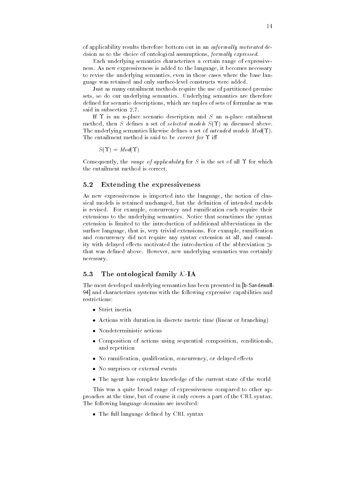of applicability results therefore bottom out in an *informally motivated* decision as to the choice of ontological assumptions, formally expressed. cision as to the choice of ontological assumptions formal ly expressed

Each underlying semantics characterizes a certain range of expressive ness. As new expressiveness is added to the language, it becomes necessary ness As new expressiveness is added to the language it becomes necessary to revise the underlying semantics, even in those cases where the base lanto revise the underlying semantics even in those cases where the base lan guage was retained and only surfacelevel constructs were added

Just as many entailment methods require the use of partitioned premise sets, so do our underlying semantics. Underlying semantics are therefore defined for scenario descriptions, which are tuples of sets of formulae as was said in subsection 2.7.

If  $\Upsilon$  is an *n*-place scenario description and S an *n*-place entailment method the S denes a set of selected models S-set of selected models S-set of selected models S-set of selected The underlying semantics likewise density  $\mathbf{u} \cdot \mathbf{d}$ The entailment method is said to be *correct for*  $\Upsilon$  iff

$$
S(\Upsilon) = \mathit{Mod}(\Upsilon)
$$

Consequently, the range of applicability for S is the set of all  $\Upsilon$  for which

#### $5.2$ Extending the expressiveness

As new expressiveness is imported into the language, the notion of classical models is retained unchanged, but the definition of intended models is revised. For example, concurrency and ramification each require their extensions to the underlying semantics Notice that sometimes the syntax extension is limited to the introduction of additional abbreviations in the surface language, that is, very trivial extensions. For example, ramification and concurrency did not require any syntax extension at all, and causality with delayed effects motivated the introduction of the abbreviation  $\gg$ that was defined above. However, new underlying semantics was certainly necessary

#### 5.3 The ontological family  $K$  IA

The most developed underlying semantics has been presented in bSandewall and characterizes systems with the following expressive capabilities and restrictions:

- Strict inertia
- Actions with duration in discrete metric time -linear or branching
- 
- Composition of actions using sequential composition conditionals and repetition
- -definition  $\mathbf{N}$  ramifies a ramifies of definition concurrency or definition concurrency or definition  $\mathbf{N}$
- No surprises or external events of the surprises or extensive production of the surprises of the surprises of
- $\Box$  The agent has complete  $\Box$

This was a quite broad range of expressiveness compared to other ap proaches at the time but of course it only covers a part of the CRL syntax The following language domains are involved

- The full language dened by CRL syntax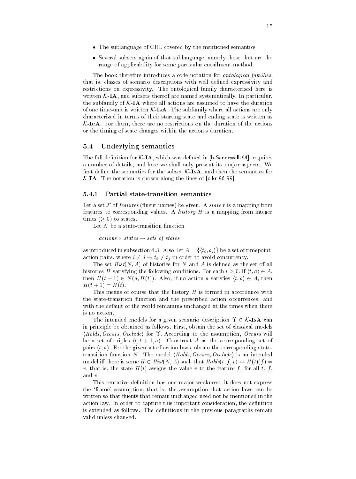- $\mathbf{r}$  , the sublanguage of  $\mathbf{r}$  and  $\mathbf{r}$  and  $\mathbf{r}$  and  $\mathbf{r}$  and  $\mathbf{r}$  and  $\mathbf{r}$  and  $\mathbf{r}$  and  $\mathbf{r}$  and  $\mathbf{r}$  and  $\mathbf{r}$  and  $\mathbf{r}$  and  $\mathbf{r}$  and  $\mathbf{r}$  and  $\mathbf{r}$  and  $\mathbf{r}$
- Several subsets again of that sublanguage namely those that are the range of applicability for some particular entailment method

The book therefore introduces a code notation for *ontological families*. The book therefore introduces a code notation for one onto the notation for one on  $\mathbf{f}_i$ that is, classes of scenario descriptions with well defined expressivity and restrictions on expressivity. The ontological family characterized here is written  $K-IA$ , and subsets thereof are named systematically. In particular, the subfamily of  $K$ -IA where all actions are assumed to have the duration of one time-unit is written  $K$ -IsA. The subfamily where all actions are only characterized in terms of their starting state and ending state is written as  $K$ -LeA. For them, there are no restrictions on the duration of the actions or the timing of state changes within the action's duration.

#### 5.4 Underlying semantics

The full denition for KIA which was denited in the full denited in the full density of the full density of the a number of details, and here we shall only present its major aspects. We first define the semantics for the subset  $K$ -**IsA**, and then the semantics for  $\mathbf{C}$  the notation is chosen along the lines of  $\mathbf{C}$  along the lines of  $\mathbf{C}$ 

### 5.4.1 Partial state-transition semantics

Let a set <sup>F</sup> of features - uent names be given A state r is a mapping from features to corresponding values. A history  $H$  is a mapping from integer times  $\mathbf{t}$  to state  $\mathbf{t}$  to state states  $\mathbf{t}$ 

Let  $N$  be a state-transition function

 $actions \times states \mapsto sets \ of \ states$ 

as introduced in subsection 4.3. Also, let  $A = \{ \langle t_i, a_i \rangle \}$  be a set of timepointaction pairs, where  $i \neq j \rightarrow t_i \neq t_j$  in order to avoid concurrency.

 $N = \frac{1}{\sqrt{2}}$  is denoted as the set of all and A is denoted as the set of all and A is denoted as the set of all all and A is denoted as the set of all all and A is denoted as the set of all all all all all all all all a histories H satisfying the following conditions. For each  $t \geq 0$ , if  $\langle t, a \rangle \in A$ , then H-C is a satisfied to the three three controls in the satisfied of the satisfied of the satisfied of the s t and the state of the state  $\mathbf{H}$ 

This means of course that the history  $H$  is formed in accordance with the state-transition function and the prescribed action occurrences, and with the default of the world remaining unchanged at the times when there

The intended models for a given scenario description  $\Upsilon \in \mathcal{K}$ -IsA can in principle be obtained as follows. First, obtain the set of classical models  $\langle Holds, Occurs, Occlude \rangle$  for  $\Upsilon$ . According to the assumption, Occurs will be a set of triples  $\langle t, t + 1, a \rangle$ . Construct A as the corresponding set of pairs  $\langle t, a \rangle$ . For the given set of action laws, obtain the corresponding statetransition function N. The model  $\langle Holds, Occurs, Occulate \rangle$  is an intended model i there is some H is some H is that Holds-I is some H is some H is some H is some H is some H is some H i  $\mathbf{u}$  that is the state H-H  $\mathbf{u}$  to the feature f for all the feature f for all t for all t for all t for all t and v

This tentative definition has one major weakness: it does not express the 'frame' assumption, that is, the assumption that action laws can be written so that house that remains methods as not be mentioned in the me action law. In order to capture this important consideration, the definition is extended as follows. The definitions in the previous paragraphs remain valid unless changed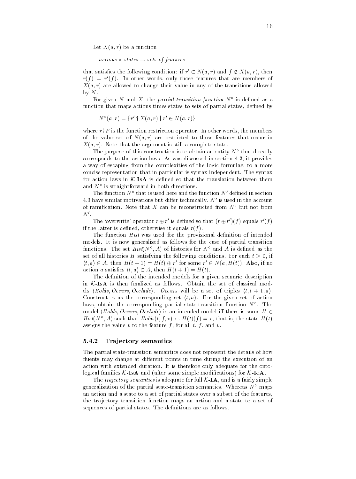$\mathcal{X}$  and a function  $\mathcal{X}$  are a function of a function  $\mathcal{X}$ 

 $actions \times states \mapsto sets \ of features$ 

that satisfies the following condition: if  $r \in N(a,r)$  and  $f \notin A(a,r)$ , then rf r  $r(f) = r'(f)$ . In other words, only those features that are members of f In other words only those features that are members of  $\mathcal{N}$  are allowed to change the transitions allowed the transitions allowed the transitions allowed the transitions allowed the transitions are transitions and the transitions are transitions and transitions are transi by  $N$ .

For given iv and  $A$ , the *partial transition function* iv is defined as a function that maps actions times states to sets of partial states, defined by

 $N^-(a,r) = \{r \in N(a,r) \mid r \in N(a,r)\}\$ 

where  $r \dagger F$  is the function restriction operator. In other words, the members  $\mathcal{N}$  are restricted to the value set of  $\mathcal{N}$  $\mathcal{N}$ -argument is still a complete state state state state state state state state state state state state state

The purpose of this construction is to obtain an entity N – that directly corresponds to the action laws. As was discussed in section  $4.3$ , it provides a way of escaping from the complexities of the logic formulae, to a more concise representation that in particular in particular is syntax independent The syntax independent The syntax in for action laws in  $K$ -IsA is defined so that the translation between them and  $N^{\circ}$  is straightforward in both directions. is straightforward in both directions of  $\mathcal{O}_\mathbb{R}$  in both directions of  $\mathcal{O}_\mathbb{R}$ 

**The function N** that is used here and the function N defined in section 4.3 have similar motivations but differ technically.  $N'$  is used in the account of ramification. Note that X can be reconstructed from  $N^{\circ}$  but not from  $N^{\prime}$ .

The overwrite operator  $r \oplus r$  is defined so that  $(r \oplus r)(f)$  equals  $r(f)$ if the latter is denoted otherwise it equals relationships in the latter is denoted otherwise it equals relationships  $\mathcal{A}$ 

The function  $Hist$  was used for the provisional definition of intended models It is now generalized as follows for the case of partial transition functions. The set  $\pi i s \eta \, N$  and  $A$  is defined as the set of all histories H satisfying the following conditions. For each  $t \geq 0$ , if  $\langle i, a \rangle \in A$ , then  $\Pi(i+1) \equiv \Pi(i) \oplus r$  for some  $r \in N(a, \Pi(i))$ . Also, if no and the satisfied and  $\mathbf{A}$  then  $\mathbf{A}$  then  $\mathbf{A}$  then  $\mathbf{A}$  then  $\mathbf{A}$  then  $\mathbf{A}$  then  $\mathbf{A}$  then  $\mathbf{A}$  then  $\mathbf{A}$  then  $\mathbf{A}$  then  $\mathbf{A}$  then  $\mathbf{A}$  then  $\mathbf{A}$  then  $\mathbf{A}$  then  $\math$ 

The definition of the intended models for a given scenario description in  $K$ -IsA is then finalized as follows. Obtain the set of classical models  $\langle Holds, Occurs, Occulate \rangle$ . Occurs will be a set of triples  $\langle t, t + 1, a \rangle$ . Construct A as the corresponding set  $\langle t, a \rangle$ . For the given set of action laws, obtain the corresponding partial state-transition function  $N$  . The  $\blacksquare$ model (Holds, Occurs, Occlude) is an intended model iff there is some  $H \in$  $H$  is  $(N^+, A)$  such that  $H$ olds $(t, f, v) \leftrightarrow H(t)(f) \equiv v$ , that is, the state  $H(t)$ assigns the value v to the feature f, for all t, f, and v.

#### 5.4.2 Tra jectory semantics

The partial state-transition semantics does not represent the details of how uents may change at dierent points in time during the execution of an action with extended duration. It is therefore only adequate for the ontological families (which is a simple modifying the simple modifying  $\sim$  and  $\sim$ 

The *trajectory semantics* is adequate for full  $K$ -**IA**, and is a fairly simple generalization of the partial state-transition semantics. Whereas  $N^{\circ}$  maps an action and a state to a set of partial states over a subset of the features the trajectory transition function maps an action and a state to a set of sequences of partial states. The definitions are as follows.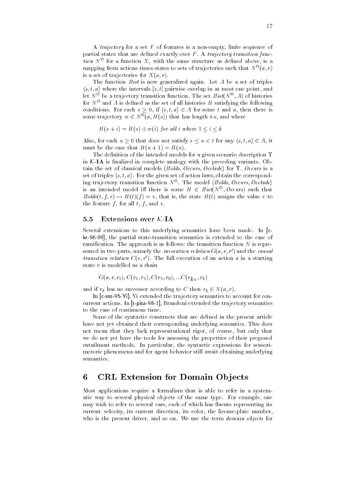A trajectory for a set  $F$  of features is a non-empty, finite sequence of partial states that are defined exactly over  $F$ . A trajectory transition funcpartial states that are dened exactly over F A trajectory transition func *tion i* for a function  $\Lambda$ , with the same structure as defined above, is a mapping from actions times states to sets of trajectories such that  $N^{\square}(a, r)$ a region de la construcción de la construcción de la construcción de la construcción de la construcción de la is a set of trajectories for  $X(a, r)$ . is a set of trajectories for  $\mathcal{M}$  -for  $\mathcal{M}$  -for  $\mathcal{M}$  -for  $\mathcal{M}$  -for  $\mathcal{M}$ a region de la construcción de la construcción de la construcción de la construcción de la construcción de la

The function  $Hist$  is now generalized again. Let  $A$  be a set of triples  $\langle s, t, a \rangle$  where the intervals  $[s, t]$  pairwise overlap in at most one point, and iet *I*v be a trajectory transition function. The set  $\pi i s \iota_i \iota_j$ ,  $A$ ) of instories for  $N$  and  $A$  is defined as the set of all histories  $H$  satisfying the following conditions. For each  $s \geq 0$ , if  $\langle s, t, a \rangle \in A$  for some t and a, then there is some trajectory  $w \in N^-(a, H(s))$  that has length  $t$ -s, and where

$$
H(s+i) = H(s) \oplus w(i) \text{ for all } i \text{ where } 1 \le i \le k
$$

Also, for each  $u \geq 0$  that does not satisfy  $s \leq u < t$  for any  $\langle s, t, a \rangle \in A$ , it must be the case that H-u H-u

The definition of the intended models for a given scenario description  $\Upsilon$ in  $K$ -IA is finalized in complete analogy with the preceding variants. Obtain the set of classical models  $\langle Holds, Occurs, Occlude \rangle$  for  $\Upsilon$ . Occurs is a set of triples  $\langle s, t, a \rangle$ . For the given set of action laws, obtain the corresponding trajectory transition function  $N$  . The model (*notas, Occurs, Occlude*) is an intended model in there is some  $H \in His( N \setminus Occurs)$  such that that is the state  $\mathbf{H}$  is the state  $\mathbf{H}$ the feature f, for all t, f, and v.

#### 5.5 Extensions over  $K$ -IA

Several extensions to this underlying semantics have been made In c kr-96-99, the partial state-transition semantics is extended to the case of ramification. The approach is as follows: the transition function  $N$  is represented in two parts, namely the *invocation relation*  $G(a, r, r$  ) and the *causal transition relation*  $C(r, r)$ . The full execution of an action a in a starting state r is modelled as a chain

$$
G(a,r,r_1),C(r_1,r_2),C(r_2,r_3),...C(r_{k-1},r_k)\\
$$

and if results in the cordinate to  $\alpha$  successor according to  $\alpha$  results in the cordinate  $\alpha$ 

In csssYi Yi extended the trajectory semantics to account for con current actions In tpisa Brandoni extended the trajectory semantics to the case of continuous time

Some of the syntactic constructs that are defined in the present article have not yet obtained their corresponding underlying semantics This does not mean that they lack representational rigor, of course, but only that we do not yet have the tools for assessing the properties of their proposed entailment methods. In particular, the syntactic expressions for sensorimotoric phenomena and for agent behavior still await obtaining underlying semantics

# 6 CRL Extension for Domain Objects

Most applications require a formalism that is able to refer in a system atic way to several physical objects of the same type. For example, one may wish to refer to several cars each of which has uents representing its current velocity, its current direction, its color, the license-plate number, who is the present driver, and so on. We use the term domain objects for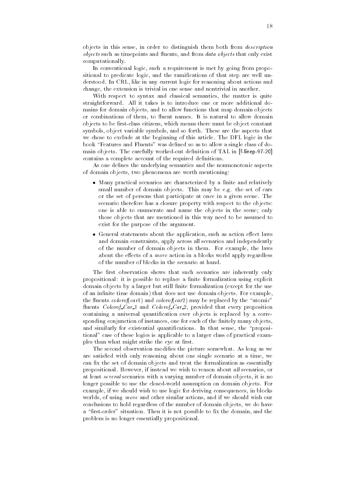objects in this sense, in order to distinguish them both from *description objects* such as timepoints and fluents, and from *data objects* that only exist objects such as time points and the such as time points and the such as time points and the such as time points uents and from data objects that only existence that only existence that only existence that only existence th computationally. computation in the computation of the computation of the computation of the computation of the computation of the computation of the computation of the computation of the computation of the computation of the computation o

In conventional logic, such a requirement is met by going from propositional to predicate logic, and the ramifications of that step are well unsitional to predicate logic and the ramications of that step are well un derstood. In CRL, like in any current logic for reasoning about actions and change, the extension is trivial in one sense and nontrivial in another.

With respect to syntax and classical semantics, the matter is quite straightforward. All it takes is to introduce one or more additional domains for domain objects, and to allow functions that map domain objects or combinations of them to allow domains  $\mathbb{I}$  is names It is natural to allow domains  $\mathbb{I}$ objects to be first-class citizens, which means there must be object constant symbols object variable symbols and so forth These are the aspects that we chose to exclude at the beginning of this article The DFL logic in the book "Features and Fluents" was defined so as to allow a single class of domain objects The carefully workedout denition of TAL in flinep contains a complete account of the required definitions.

As one defines the underlying semantics and the nonmonotonic aspects of domain objects two phenomena are worth mentioning

- Many practical scenarios are characterized by a nite and relatively small number of domain objects. This may be e.g. the set of cars or the set of persons that participate at once in a given scene The scenario therefore has a closure property with respect to the objects one is able to enumerate and name the objects in the scene; only those objects that are mentioned in this way need to be assumed to exist for the purpose of the argument
- General statements about the application such as action eect laws and domain constraints, apply across all scenarios and independently of the number of domain objects in them. For example, the laws about the effects of a *move* action in a blocks world apply regardless of the number of blocks in the scenario at hand

The first observation shows that such scenarios are inherently only propositional: it is possible to replace a finite formalization using explicit domain objects by a larger but still nite formalization -except for the use of an infinite time domain) that does not use domain objects. For example, the colorof-colorof-colorof-colorof-colorof-colorof-colorof-colorof-colorof-colorof-colorof-colorof-colorof-colorof-colorof-colorof-colorof-colorof-colorof-colorof-colorof-colorof-colorof-colorof-colorof-colorof-colorof-c uents Colorof Car and Colorof Car provided that every provided that every provided that every provided that e containing a universal quantification over objects is replaced by a corresponding conjunction of instances, one for each of the finitely many objects, and similarly for existential quantifications. In that sense, the "propositional" case of these logics is applicable to a larger class of practical examples than what might strike the eye at first.

The second observation modifies the picture somewhat. As long as we are satisfied with only reasoning about one single scenario at a time, we can fix the set of domain objects and treat the formalization as essentially propositional. However, if instead we wish to reason about all scenarios, or at least several scenarios with a varying number of domain objects it is no longer possible to use the closed-world assumption on domain objects. For example, if we should wish to use logic for deriving consequences, in blocks worlds, of using move and other similar actions, and if we should wish our conclusions to hold regardless of the number of domain objects, we do have a "first-order" situation. Then it is not possible to fix the domain, and the problem is no longer essentially propositional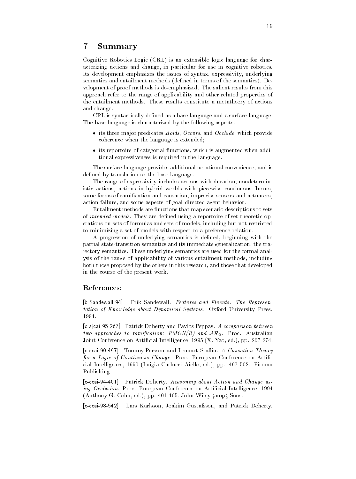#### $\overline{7}$ Summary

Cognitive Robotics Logic -CRL is an extensible logic language for char acterizing actions and change, in particular for use in cognitive robotics. Its development emphasizes the issues of syntax, expressivity, underlying semantics and entailment methods -dened in terms of the semantics De velopment of proof methods is de-emphasized. The salient results from this approach refer to the range of applicability and other related properties of the entailment methods. These results constitute a metatheory of actions and change

CRL is syntactically defined as a base language and a surface language. The base language is characterized by the following aspects

- its three major predicates Holds Occurs and Occurs and Occurs and Occurs and Occurs and Occurs and Occurs an coherence when the language is extended
- its reportoire of categorial functions which is augmented when addi tional expressiveness is required in the language

The surface language provides additional notational convenience and is defined by translation to the base language.

The range of expressivity includes actions with duration, nondeterministic actions actions in hybrid worlds with piecewise continuous uents some forms of ramication and causation imprecise sensors and actuators action failure, and some aspects of goal-directed agent behavior.

Entailment methods are functions that map scenario descriptions to sets of intended models. They are defined using a reportoire of set-theoretic operations on sets of formulas and sets of models including but not restricted to minimizing a set of models with respect to a preference relation

A progression of underlying semantics is defined, beginning with the partial state-transition semantics and its immediate generalization, the trajectory semantics. These underlying semantics are used for the formal analysis of the range of applicability of various entailment methods including both those proposed by the others in this research and those that developed in the course of the present work

## References

 $[b-Sandewa||-94]$ Erik Sandewall. Features and Fluents. The Representation of Knowledge about Dynamical Systems. Oxford University Press, 1994.

 cajcai Patrick Doherty and Pavlos Peppas A comparison between two approaches to ramification: PMON(R) and  $AR_0$ . Proc. Australian Joint Conference on Articial Intelligence -X Yao ed pp !!

r tommy Persson and Lennard States and Lennard States and Lennard States and Lennard States and for a Logic of Continuous Change. Proc. European Conference on Artificial Intelligence is a complete the product of products and produced and products and an analyzed and all the Publishing

cecamient about Action and Change uses and Change uses and Change uses and Change uses and Change uses and Change uses and Change uses and Change uses and Change uses and Change uses and Change uses and Change uses and Cha ing Occlusion. Proc. European Conference on Artificial Intelligence, 1994 -Anthony G Cohn ed pp John Wiley %amp& Sons

cecai Lars Karlsson Joakim Gustafsson and Patrick Doherty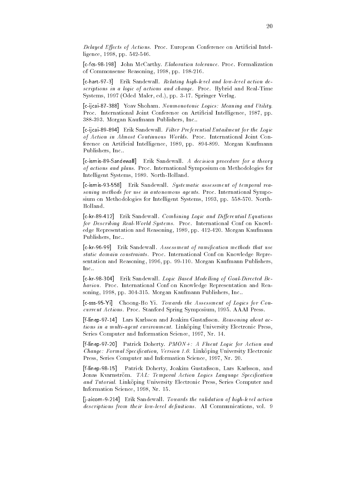Delayed Effects of Actions. Proc. European Conference on Artificial Intelligence, 1998, pp. 542-546. ligence is a positive of the contract of the contract of the contract of the contract of the contract of the c

 cfcs John McCarthy Elaboration tolerance Proc Formalization of Commonsense Reasoning, 1998, pp. 198-216.

 chart Erik Sandewall Relating highlevel and lowlevel action de scriptions in a logic of actions and change. Proc. Hybrid and Real-Time Systems ! -Oded Maler ed pp ! Springer Verlag

cijca i Yoav Shoham Nonmonotonic Logics Meaning and Utility and Utility And Utility And Utility And Utility An Proc. International Joint Conference on Artificial Intelligence, 1987, pp. 388-393. Morgan Kaufmann Publishers, Inc..

 cijcai Erik Sandewall Filter Preferential Entailment for the Logic of Action in Almost Continuous Worlds. Proc. International Joint Conference on Artificial Intelligence, 1989, pp. 894-899. Morgan Kaufmann Publishers, Inc..

 cismisSandewall Erik Sandewall A decision procedure for a theory of actions and plans. Proc. International Symposium on Methodologies for Intelligent Systems, 1989. North-Holland.

 cismis Erik Sandewall Systematic assessment of temporal rea soning methods for use in autonomous agents. Proc. International Symposium on Methodologies for Intelligent Systems, 1993, pp. 558-570. North-

 ckr Erik Sandewall Combining Logic and Dierential Equations for Describing Real-World Systems. Proc. International Conf on Knowledge Representation and Reasoning, 1989, pp. 412-420. Morgan Kaufmann Publishers, Inc..

 ckr Erik Sandewall Assessment of ramication methods that use static domain constraints. Proc. International Conf on Knowledge Representation and Reasoning, 1996, pp. 99-110. Morgan Kaufmann Publishers, Inc

 ckr Erik Sandewall Logic Based Model ling of GoalDirected Be haviou. Proc. International Conf on Knowledge Representation and Reasoning, 1998, pp. 304-315. Morgan Kaufmann Publishers, Inc..

 csssYi ChoongHo Yi Towards the Assessment of Logics for Con current Actions. Proc. Stanford Spring Symposium, 1995. AAAI Press.

 flinep Lars Karlsson and Joakim Gustafsson Reasoning about ac tions in a multi-agent environment. Linkoping University Electronic Press, Series Computer and Information Science, 1997, Nr. 14.

fline patrick Doherty Patrick Doherty PMON a Fluent Logic for Action and Action and Action and Action and Action and Action and Action and Action and Action and Action and Action and Action and Action and Action and Actio *Change: Formal Specification, Version 1.0.* Linköping University Electronic Press, Series Computer and Information Science, 1997, Nr. 20.

 $[f-line p-98-15]$ Patrick Doherty, Joakim Gustafsson, Lars Karlsson, and Jonas Kvarnström. TAL: Temporal Action Logics Language Specification and Tutorial. Linköping University Electronic Press, Series Computer and Information Science, 1998, Nr. 15.

 jaicom Erik Sandewall Towards the validation of highlevel action descriptions from their low-level definitions. AI Communications, vol. 9